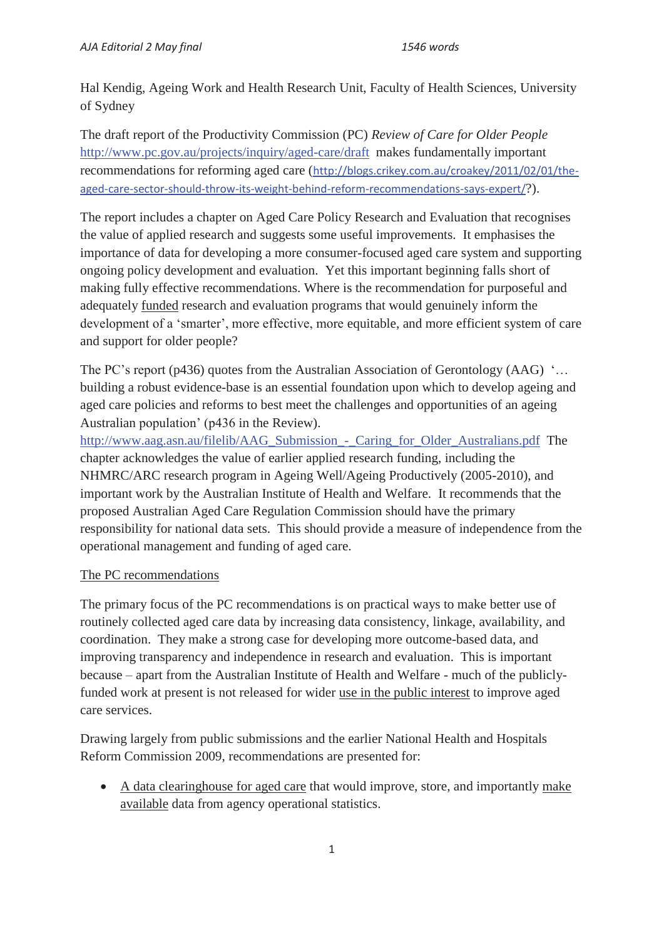Hal Kendig, Ageing Work and Health Research Unit, Faculty of Health Sciences, University of Sydney

The draft report of the Productivity Commission (PC) *Review of Care for Older People* http://www.pc.gov.au/projects/inquiry/aged-care/draft makes fundamentally important recommendations for reforming aged care (http://blogs.crikey.com.au/croakey/2011/02/01/theaged-care-sector-should-throw-its-weight-behind-reform-recommendations-says-expert/?).

The report includes a chapter on Aged Care Policy Research and Evaluation that recognises the value of applied research and suggests some useful improvements. It emphasises the importance of data for developing a more consumer-focused aged care system and supporting ongoing policy development and evaluation. Yet this important beginning falls short of making fully effective recommendations. Where is the recommendation for purposeful and adequately funded research and evaluation programs that would genuinely inform the development of a 'smarter', more effective, more equitable, and more efficient system of care and support for older people?

The PC's report (p436) quotes from the Australian Association of Gerontology (AAG) '... building a robust evidence-base is an essential foundation upon which to develop ageing and aged care policies and reforms to best meet the challenges and opportunities of an ageing Australian population' (p436 in the Review).

http://www.aag.asn.au/filelib/AAG\_Submission\_-\_Caring\_for\_Older\_Australians.pdf The chapter acknowledges the value of earlier applied research funding, including the NHMRC/ARC research program in Ageing Well/Ageing Productively (2005-2010), and important work by the Australian Institute of Health and Welfare. It recommends that the proposed Australian Aged Care Regulation Commission should have the primary responsibility for national data sets. This should provide a measure of independence from the operational management and funding of aged care.

## The PC recommendations

The primary focus of the PC recommendations is on practical ways to make better use of routinely collected aged care data by increasing data consistency, linkage, availability, and coordination. They make a strong case for developing more outcome-based data, and improving transparency and independence in research and evaluation. This is important because – apart from the Australian Institute of Health and Welfare - much of the publiclyfunded work at present is not released for wider use in the public interest to improve aged care services.

Drawing largely from public submissions and the earlier National Health and Hospitals Reform Commission 2009, recommendations are presented for:

• A data clearinghouse for aged care that would improve, store, and importantly make available data from agency operational statistics.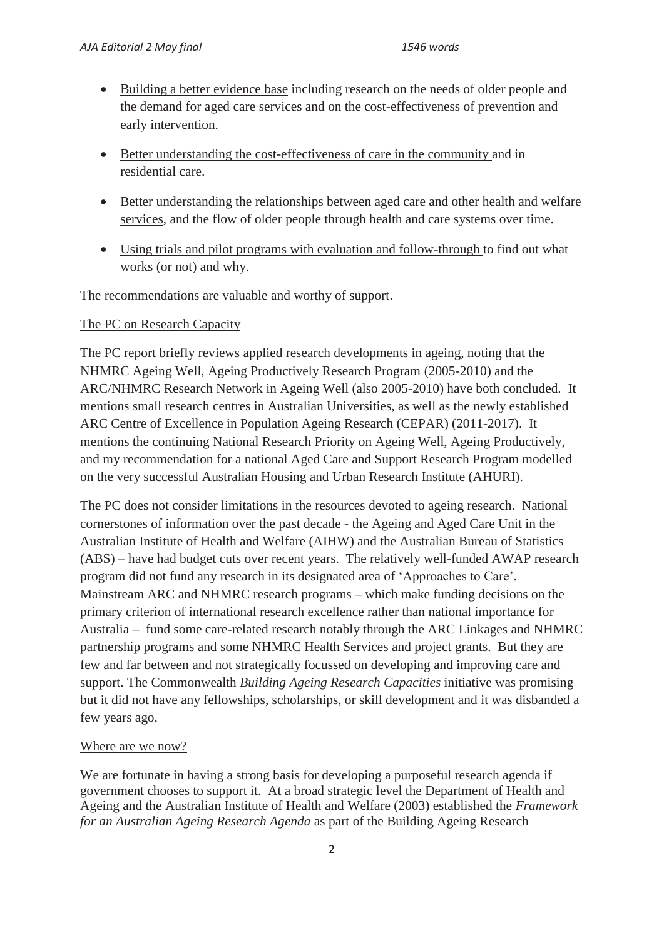- Building a better evidence base including research on the needs of older people and the demand for aged care services and on the cost-effectiveness of prevention and early intervention.
- Better understanding the cost-effectiveness of care in the community and in residential care.
- Better understanding the relationships between aged care and other health and welfare services, and the flow of older people through health and care systems over time.
- Using trials and pilot programs with evaluation and follow-through to find out what works (or not) and why.

The recommendations are valuable and worthy of support.

## The PC on Research Capacity

The PC report briefly reviews applied research developments in ageing, noting that the NHMRC Ageing Well, Ageing Productively Research Program (2005-2010) and the ARC/NHMRC Research Network in Ageing Well (also 2005-2010) have both concluded. It mentions small research centres in Australian Universities, as well as the newly established ARC Centre of Excellence in Population Ageing Research (CEPAR) (2011-2017). It mentions the continuing National Research Priority on Ageing Well, Ageing Productively, and my recommendation for a national Aged Care and Support Research Program modelled on the very successful Australian Housing and Urban Research Institute (AHURI).

The PC does not consider limitations in the resources devoted to ageing research. National cornerstones of information over the past decade - the Ageing and Aged Care Unit in the Australian Institute of Health and Welfare (AIHW) and the Australian Bureau of Statistics (ABS) – have had budget cuts over recent years. The relatively well-funded AWAP research program did not fund any research in its designated area of 'Approaches to Care'. Mainstream ARC and NHMRC research programs – which make funding decisions on the primary criterion of international research excellence rather than national importance for Australia – fund some care-related research notably through the ARC Linkages and NHMRC partnership programs and some NHMRC Health Services and project grants. But they are few and far between and not strategically focussed on developing and improving care and support. The Commonwealth *Building Ageing Research Capacities* initiative was promising but it did not have any fellowships, scholarships, or skill development and it was disbanded a few years ago.

## Where are we now?

We are fortunate in having a strong basis for developing a purposeful research agenda if government chooses to support it. At a broad strategic level the Department of Health and Ageing and the Australian Institute of Health and Welfare (2003) established the *Framework for an Australian Ageing Research Agenda* as part of the Building Ageing Research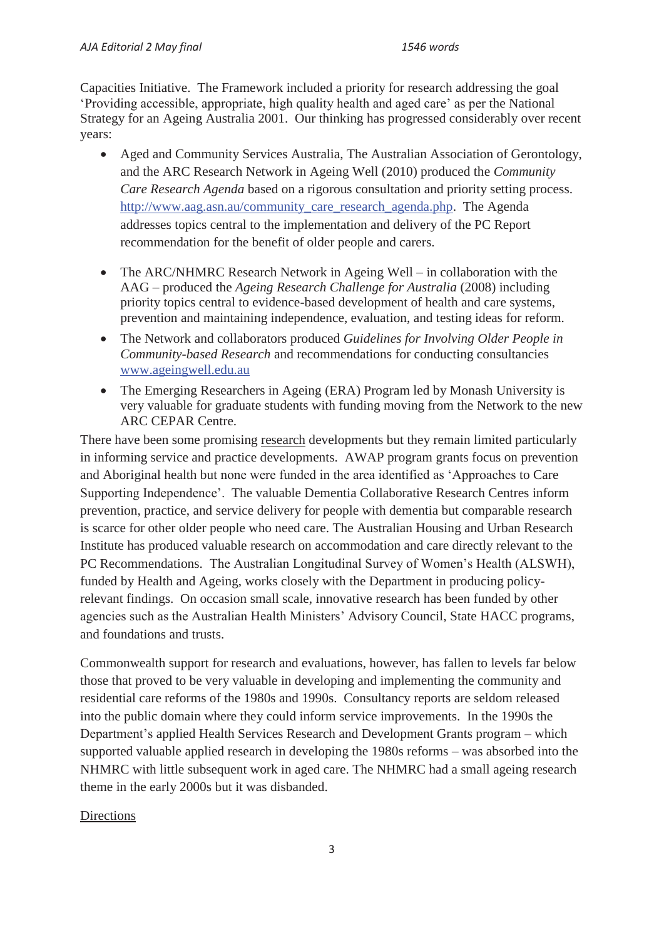Capacities Initiative. The Framework included a priority for research addressing the goal 'Providing accessible, appropriate, high quality health and aged care' as per the National Strategy for an Ageing Australia 2001. Our thinking has progressed considerably over recent years:

- x Aged and Community Services Australia, The Australian Association of Gerontology, and the ARC Research Network in Ageing Well (2010) produced the *Community Care Research Agenda* based on a rigorous consultation and priority setting process. http://www.aag.asn.au/community\_care\_research\_agenda.php. The Agenda addresses topics central to the implementation and delivery of the PC Report recommendation for the benefit of older people and carers.
- The ARC/NHMRC Research Network in Ageing Well in collaboration with the AAG – produced the *Ageing Research Challenge for Australia* (2008) including priority topics central to evidence-based development of health and care systems, prevention and maintaining independence, evaluation, and testing ideas for reform.
- x The Network and collaborators produced *Guidelines for Involving Older People in Community-based Research* and recommendations for conducting consultancies www.ageingwell.edu.au
- The Emerging Researchers in Ageing (ERA) Program led by Monash University is very valuable for graduate students with funding moving from the Network to the new ARC CEPAR Centre.

There have been some promising research developments but they remain limited particularly in informing service and practice developments. AWAP program grants focus on prevention and Aboriginal health but none were funded in the area identified as 'Approaches to Care Supporting Independence'. The valuable Dementia Collaborative Research Centres inform prevention, practice, and service delivery for people with dementia but comparable research is scarce for other older people who need care. The Australian Housing and Urban Research Institute has produced valuable research on accommodation and care directly relevant to the PC Recommendations. The Australian Longitudinal Survey of Women's Health (ALSWH), funded by Health and Ageing, works closely with the Department in producing policyrelevant findings. On occasion small scale, innovative research has been funded by other agencies such as the Australian Health Ministers' Advisory Council, State HACC programs, and foundations and trusts.

Commonwealth support for research and evaluations, however, has fallen to levels far below those that proved to be very valuable in developing and implementing the community and residential care reforms of the 1980s and 1990s. Consultancy reports are seldom released into the public domain where they could inform service improvements. In the 1990s the Department's applied Health Services Research and Development Grants program – which supported valuable applied research in developing the 1980s reforms – was absorbed into the NHMRC with little subsequent work in aged care. The NHMRC had a small ageing research theme in the early 2000s but it was disbanded.

## **Directions**